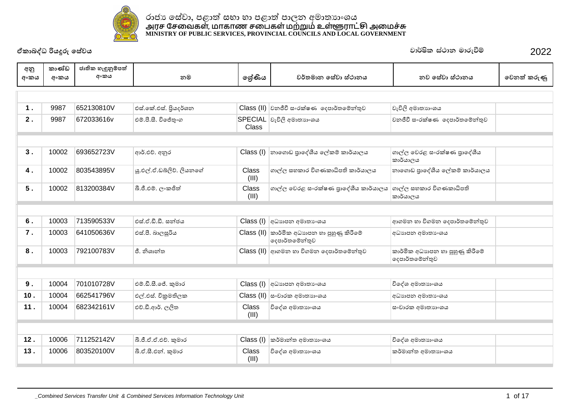

| අනු<br>අංකය | කාණ්ඩ<br>අංකය | ජාතික හැඳුනුම්පත්<br>අංකය | නම                       | ලශ්ණිය                | වර්තමාන සේවා ස්ථානය                               | නව සේවා ස්ථානය                                    | වෙනත් කරුණු |
|-------------|---------------|---------------------------|--------------------------|-----------------------|---------------------------------------------------|---------------------------------------------------|-------------|
|             |               |                           |                          |                       |                                                   |                                                   |             |
| 1.          | 9987          | 652130810V                | එස්.කේ.එස්. පිුයදර්ශන    |                       | Class (II) වනජීවී සංරක්ෂණ දෙපාර්තමේන්තුව          | වැවිලි අමාතාගංශය                                  |             |
| 2.          | 9987          | 672033616v                | එම්.පී.සී. විජේතුංග      | <b>Class</b>          | SPECIAL වැවිලි අමාතාහංශය                          | වනජීවී සංරක්ෂණ දෙපාර්තමේන්තුව                     |             |
|             |               |                           |                          |                       |                                                   |                                                   |             |
| 3.          | 10002         | 693652723V                | ආර්.එච්. අනුර            | Class (I)             | නාගොඩ පාදේශීය ලේකම් කාර්යාලය                      | ගාල්ල වෙරළ සංරක්ෂණ පුාදේශීය<br>කාර්යාලය           |             |
| 4.          | 10002         | 803543895V                | ශු.එල්.ඒ.ඩබ්ලිව්, ලියනගේ | Class<br>(III)        | ගාල්ල සහකාර විගණකාධිපති කාර්යාලය                  | නාගොඩ පාදේශීය ලේකම් කාර්යාලය                      |             |
| 5.          | 10002         | 813200384V                | බී.ජී.එම්. ලංකජිත්       | Class<br>(III)        | ගාල්ල වෙරළ සංරක්ෂණ පුාදේශීය කාර්යාලය              | ගාල්ල සහකාර විගණකාධිපති<br>කාර්යාලය               |             |
|             |               |                           |                          |                       |                                                   |                                                   |             |
| 6.          | 10003         | 713590533V                | එස්.ඒ.ඩී.ඩී. සත්ජය       | Class (I)             | අධාහපන අමාතා ෙශය                                  | ආගමන හා විගමන දෙපාර්තමේන්තුව                      |             |
| 7.          | 10003         | 641050636V                | එස්.පී. බාලසූරිය         | Class (II)            | කාර්මික අධාහපන හා පුහුණු කිරීමේ<br>දෙපාර්තමේන්තුව | අධාහපන අමාතාංශය                                   |             |
| 8.          | 10003         | 792100783V                | ජී, නිශාන්ත              |                       | Class (II) ආගමන හා විගමන දෙපාර්තමේන්තුව           | කාර්මික අධාහපන හා පුහුණු කිරීමේ<br>දෙපාර්තමේන්තුව |             |
|             |               |                           |                          |                       |                                                   |                                                   |             |
| 9.          | 10004         | 701010728V                | එම්.ඩී.සී.ජේ. කුමාර      | Class (I)             | අධාහපන අමාතා ශය                                   | විදේශ අමාතාහංශය                                   |             |
| 10.         | 10004         | 662541796V                | එල්.එස්. විකුමතිලක       | Class (II)            | සංචාරක අමාතාහංශය                                  | අධාහපන අමාතා ශය                                   |             |
| 11.         | 10004         | 682342161V                | එච්.ඩී.ආර්. ලලිත         | <b>Class</b><br>(III) | විදේශ අමාතාගංශය                                   | සංචාරක අමාතාහංශය                                  |             |
|             |               |                           |                          |                       |                                                   |                                                   |             |
| 12.         | 10006         | 711252142V                | බී.ජී.ඒ.ඒ.එච්. කුමාර     | Class (I)             | කර්මාන්ත අමාතාහංශය                                | විදේශ අමාතාහංශය                                   |             |
| 13.         | 10006         | 803520100V                | බී.ඒ.සී.එන්. කුමාර       | Class<br>(III)        | විදේශ අමාතාහංශය                                   | කර්මාන්ත අමාතාහංශය                                |             |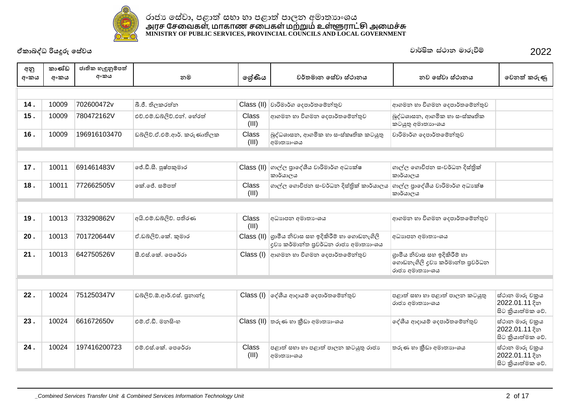

| අනු<br>අංකය | කාණ්ඩ<br>අංකය | ජාතික හැඳුනුම්පත්<br>අංකය | නම                           | ලශ්ණිය         | වර්තමාන සේවා ස්ථානය                                                                                                     | නව සේවා ස්ථානය                                                                    | වෙනත් කරුණු                                           |
|-------------|---------------|---------------------------|------------------------------|----------------|-------------------------------------------------------------------------------------------------------------------------|-----------------------------------------------------------------------------------|-------------------------------------------------------|
|             |               |                           |                              |                |                                                                                                                         |                                                                                   |                                                       |
| 14.         | 10009         | 702600472v                | බී.ජී. තිලකරත්න              | Class (II)     | වාරිමාර්ග දෙපාර්තමේන්තුව                                                                                                | ආගමන හා විගමන දෙපාර්තමේන්තුව                                                      |                                                       |
| 15.         | 10009         | 780472162V                | එච්.එම්.ඩබ්ලිව්.එන්. හේරත්   | Class<br>(III) | ආගමන හා විගමන දෙපාර්තමේන්තුව                                                                                            | බුද්ධශාසන, ආගමික හා සංස්කෘතික<br>කටයුතු අමාතාගංශය                                 |                                                       |
| 16.         | 10009         | 196916103470              | ඩබ්ලිව්.ඒ.එම්.ආර්. කරුණාතිලක | Class<br>(III) | බුද්ධශාසන, ආගමික හා සංස්කෘතික කටයුතු<br>අමාතාහංශය                                                                       | වාරිමාර්ග දෙපාර්තමේන්තුව                                                          |                                                       |
|             |               |                           |                              |                |                                                                                                                         |                                                                                   |                                                       |
| 17.         | 10011         | 691461483V                | ජේ.ඩී.සී. පුෂ්පකුමාර         |                | Class (II) ගාල්ල පුාදේශීය වාරිමාර්ග අධාහක්ෂ<br>කාර්යාලය                                                                 | ගාල්ල ගොවිජන සංවර්ධන දිස්තික්<br>කාර්යාලය                                         |                                                       |
| 18.         | 10011         | 772662505V                | ඉක් ලේ. සම්පත්               | Class<br>(III) | ගාල්ල ගොවිජන සංවර්ධන දිස්තික් කාර්යාලය                                                                                  | ගාල්ල පාදේශීය වාරිමාර්ග අධාහක්ෂ<br>කාර්යාලය                                       |                                                       |
|             |               |                           |                              |                |                                                                                                                         |                                                                                   |                                                       |
| 19.         | 10013         | 733290862V                | අයි.එම්.ඩබ්ලිව්, පතිරණ       | Class<br>(III) | අධාහපන අමාතා ංශය                                                                                                        | ආගමන හා විගමන දෙපාර්තමේන්තුව                                                      |                                                       |
| 20.         | 10013         | 701720644V                | ඒ.ඩබ්ලිව්.කේ. කුමාර          |                | $\textsf{Class}\left(\textsf{II}\right)$ ගුාමීය නිවාස සහ ඉදිකිරීම් හා ගොඩනැගිලි<br>දුවා කර්මාන්ත පුවර්ධන රාජා අමාතාහංශය | අධාහපන අමාතාගයෙ                                                                   |                                                       |
| 21.         | 10013         | 642750526V                | සී.එස්.කේ. පෙරේරා            |                | Class (I) අාගමන හා විගමන දෙපාර්තමේන්තුව                                                                                 | ගුාමීය නිවාස සහ ඉදිකිරීම් හා<br>ගොඩනැගිලි දුවා කර්මාන්ත පුවර්ධන<br>රාජා අමාතාා∘ශය |                                                       |
|             |               |                           |                              |                |                                                                                                                         |                                                                                   |                                                       |
| 22.         | 10024         | 751250347V                | ඩබ්ලිව්.ඕ.ආර්.එස්. පුනාන්දූ  | Class (I)      | ලද්ශීය ආදායම් දෙපාර්තමේන්තුව                                                                                            | පළාත් සභා හා පළාත් පාලන කටයුතු<br>රාජා අමාතාහංශය                                  | ස්ථාන මාරු චකුය<br>2022.01.11 දින<br>සිට කියාත්මක වේ. |
| 23.         | 10024         | 661672650v                | එම්.ඒ.ඩී. මනසිංහ             |                | $\text{Class (II)}$ තරුණ හා කීඩා අමාතාහංශය                                                                              | දේශීය ආදායම් දෙපාර්තමේන්තුව                                                       | ස්ථාන මාරු චකුය<br>2022.01.11 දින<br>සිට කියාත්මක වේ. |
| 24.         | 10024         | 197416200723              | එම් එස් කේ. පෙරේරා           | Class<br>(III) | පළාත් සභා හා පළාත් පාලන කටයුතු රාජා<br>අමාතාහංශය                                                                        | තරුණ හා කීඩා අමාතාහංශය                                                            | ස්ථාන මාරු චකුය<br>2022.01.11 දින<br>සිට කියාත්මක වේ. |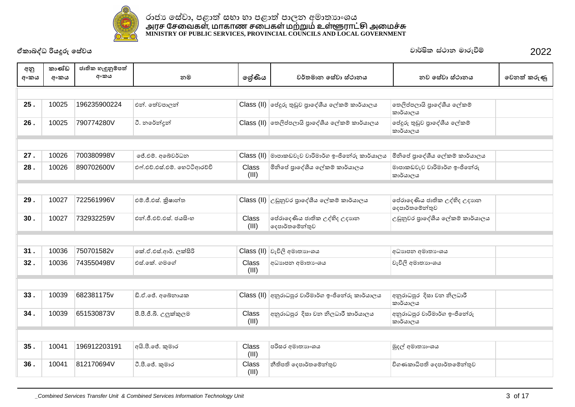

| අනු  | කාණ්ඩ | ජාතික හැඳුනුම්පත් |                               |                |                                                                                |                                                |             |
|------|-------|-------------------|-------------------------------|----------------|--------------------------------------------------------------------------------|------------------------------------------------|-------------|
| අංකය | අංකය  | අංකය              | නම                            | ලශ්ණිය         | වර්තමාන සේවා ස්ථානය                                                            | නව සේවා ස්ථානය                                 | වෙනත් කරුණු |
|      |       |                   |                               |                |                                                                                |                                                |             |
| 25.  | 10025 | 196235900224      | එන්. තේවපාලන්                 |                | Class (II)  ජේදුරු තුඩුව පුාදේශීය ලේකම් කාර්යාලය                               | තෙලිප්පලායි පුාදේශීය ලේකම්<br>කාර්යාලය         |             |
| 26.  | 10025 | 790774280V        | ටී. නරේන්දන්                  |                | Class (II) තෙලිප්පලායි පාදේශීය ලේකම් කාර්යාලය                                  | ජේදුරු තුඩුව පුාදේශීය ලේකම්<br>කාර්යාලය        |             |
|      |       |                   |                               |                |                                                                                |                                                |             |
| 27.  | 10026 | 700380998V        | ජේ.එම්. අබේවර්ධන              |                | $\textsf{Class}\left(\textsf{II}\right)$ මාපාකඩවැව වාරිමාර්ග ඉංජිනේරු කාර්යාලය | මිනිසේ පුාදේශීය ලේකම් කාර්යාලය                 |             |
| 28.  | 10026 | 890702600V        | එෆ්.එච්.එස්.එම්. හෙට්ටිආරච්චි | Class<br>(III) | මිනිසේ පාදේශීය ලේකම් කාර්යාලය                                                  | මාපාකඩවැව වාරිමාර්ග ඉංජිනේරු<br>කාර්යාලය       |             |
|      |       |                   |                               |                |                                                                                |                                                |             |
| 29.  | 10027 | 722561996V        | එම්.ජී.එස්. කිුෂාන්ත          |                | Class (II) උඩුනුවර පුාදේශීය ලේකම් කාර්යාලය                                     | පේරාදෙණිය ජාතික උද්භිද උදාහත<br>දෙපාර්තමේන්තුව |             |
| 30.  | 10027 | 732932259V        | එන්.ජී.එච්.එස්. ජයසිංහ        | Class<br>(III) | පේරාදෙණිය ජාතික උද්භිද උදාහන<br>දෙපාර්තමේන්තුව                                 | උඩුනුවර පාදේශීය ලේකම් කාර්යාලය                 |             |
|      |       |                   |                               |                |                                                                                |                                                |             |
| 31.  | 10036 | 750701582v        | කේ.ඒ.එස්.ආර්. ලක්සිරි         |                | Class (II) වැවිලි අමාතාහංශය                                                    | අධාහපන අමාතා ංශය                               |             |
| 32.  | 10036 | 743550498V        | එස් කේ. ගමගේ                  | Class<br>(III) | අධාහපන අමාතා ංශය                                                               | වැවිලි අමාතාහංශය                               |             |
|      |       |                   |                               |                |                                                                                |                                                |             |
| 33.  | 10039 | 682381175v        | ඩි.ඒ.ජේ. අබේනායක              |                | $Class$ (II) අනුරාධපුර වාරිමාර්ග ඉංජිනේරු කාර්යාලය                             | අනුරාධපුර දිසා වන නිලධාරී<br>කාර්යාලය          |             |
| 34.  | 10039 | 651530873V        | පී.පී.ජී.බී. උලුක්කුලම        | Class<br>(III) | අනුරාධපුර දිසා වන නිලධාරී කාර්යාලය                                             | අනුරාධපුර වාරිමාර්ග ඉංජිනේරු<br>කාර්යාලය       |             |
|      |       |                   |                               |                |                                                                                |                                                |             |
| 35.  | 10041 | 196912203191      | අයි.පී.ජේ. කුමාර              | Class<br>(III) | පරිසර අමාතාහංශය                                                                | මුදල් අමාතාගංශය                                |             |
| 36.  | 10041 | 812170694V        | ටී.පී.ජේ. කුමාර               | Class<br>(III) | නීතිපති දෙපාර්තමේන්තුව                                                         | විගණකාධිපති දෙපාර්තමේන්තුව                     |             |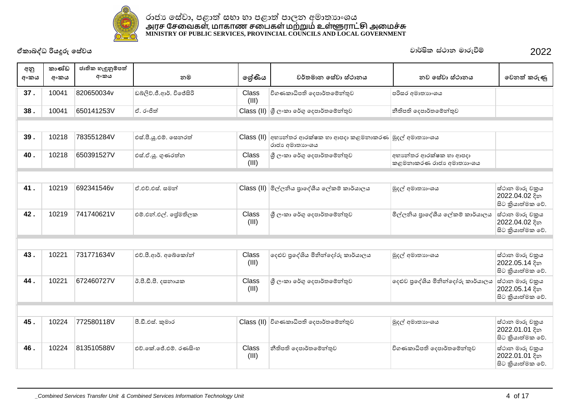

| අනු<br>අංකය | කාණ්ඩ<br>අංකය | ජාතික හැඳුනුම්පත්<br>අංකය | නම                       | ලශ්ණිය                | වර්තමාන සේවා ස්ථානය                                                | නව සේවා ස්ථානය                                    | වෙනත් කරුණු                                           |
|-------------|---------------|---------------------------|--------------------------|-----------------------|--------------------------------------------------------------------|---------------------------------------------------|-------------------------------------------------------|
| 37.         | 10041         | 820650034v                | ඩබ්ලිව්.ජී.ආර්. විජේසිරි | Class<br>(III)        | විගණකාධිපති දෙපාර්තමේන්තුව                                         | පරිසර අමාතාහංශය                                   |                                                       |
| 38.         | 10041         | 650141253V                | ඒ. රංජිත්                |                       | Class (II) යු ලංකා රේගු දෙපාර්තමේන්තුව                             | නීතිපති දෙපාර්තමේන්තුව                            |                                                       |
|             |               |                           |                          |                       |                                                                    |                                                   |                                                       |
| 39.         | 10218         | 783551284V                | එස්.පී.ශූ.එම්. සෙනරත්    | Class (II)            | අභාන්තර ආරක්ෂක හා ආපදා කළමනාකරණ  මුදල් අමාතාාංශය<br>රාජා අමාතාහංශය |                                                   |                                                       |
| 40.         | 10218         | 650391527V                | එස්.ඒ.ශූ. ගුණරත්න        | Class<br>(III)        | ශී ලංකා රේගු දෙපාර්තමේන්තුව                                        | අභාන්තර ආරක්ෂක හා ආපදා<br>කළමනාකරණ රාජා අමාතාහංශය |                                                       |
|             |               |                           |                          |                       |                                                                    |                                                   |                                                       |
| 41.         | 10219         | 692341546v                | ඒ.එච්.එස්. සමන්          |                       | Class (II) මිල්ලනිය පුාදේශීය ලේකම් කාර්යාලය                        | මුදල් අමාතාගංශය                                   | ස්ථාන මාරු චකුය<br>2022.04.02 දින<br>සිට කියාත්මක වේ. |
| 42.         | 10219         | 741740621V                | එම්.එන්.එල්. ජේමතිලක     | <b>Class</b><br>(III) | ශී ලංකා රේගු දෙපාර්තමේන්තුව                                        | මිල්ලනිය පුාදේශීය ලේකම් කාර්යාලය                  | ස්ථාන මාරු චකුය<br>2022.04.02 දින<br>සිට කියාත්මක වේ. |
|             |               |                           |                          |                       |                                                                    |                                                   |                                                       |
| 43.         | 10221         | 731771634V                | එච්.පී.ආර්. අබේකෝන්      | Class<br>(III)        | දෙළුව පුදේශිය මිනින්දෝරු කාර්යාලය                                  | මුදල් අමාතාගංශය                                   | ස්ථාන මාරු චකුය<br>2022.05.14 දින<br>සිට කියාත්මක වේ. |
| 44.         | 10221         | 672460727V                | ඊ.පී.ඩී.පී. දසනායක       | Class<br>(III)        | ශී ලංකා රේගු දෙපාර්තමේන්තුව                                        | දෙළුව පුදේශිය මිනින්දෝරු කාර්යාලය                 | ස්ථාන මාරු චකුය<br>2022.05.14 දින<br>සිට කියාත්මක වේ. |
|             |               |                           |                          |                       |                                                                    |                                                   |                                                       |
| 45.         | 10224         | 772580118V                | පී.ඩී.එස්. කුමාර         |                       | Class (II) විගණකාධිපති ඉදපාර්තමේන්තුව                              | මුදල් අමාතාගංශය                                   | ස්ථාන මාරු චකුය<br>2022.01.01 දින<br>සිට කියාත්මක වේ. |
| 46.         | 10224         | 813510588V                | එච්.කේ.ජේ.එම්. රණසිංහ    | Class<br>(III)        | නීතිපති දෙපාර්තමේන්තුව                                             | විගණකාධිපති දෙපාර්තමේන්තුව                        | ස්ථාන මාරු චකුය<br>2022.01.01 දින<br>සිට කියාත්මක වේ. |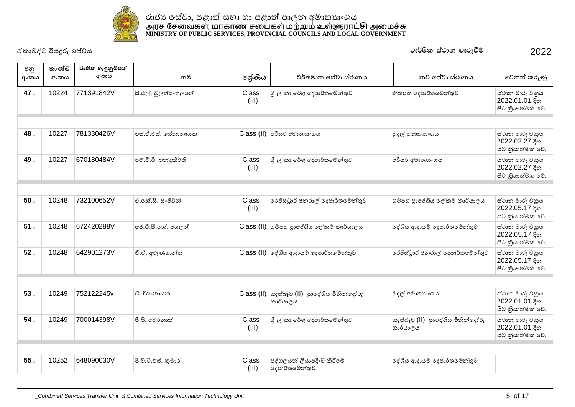

|             | ඒකාබද්ධ රියදූරු සේවය |                           |                        |                |                                                                                                                 | වාර්ෂික ස්ථාන මාරුවීම්            | 2022                                                  |
|-------------|----------------------|---------------------------|------------------------|----------------|-----------------------------------------------------------------------------------------------------------------|-----------------------------------|-------------------------------------------------------|
| අනු<br>අංකය | කාණ්ඩ<br>අංකය        | ජාතික හැඳුනුම්පත්<br>අංකය | නම                     | ලශ්ණිය         | වර්තමාන සේවා ස්ථානය                                                                                             | නව සේවා ස්ථානය                    | වෙනත් කරුණු                                           |
| 47.         | 10224                | 771391842V                | සී.එල්. බුලත්සිංහලගේ   | Class<br>(III) | ශුී ලංකා රේගු දෙපාර්තමේන්තුව                                                                                    | නීතිපති දෙපාර්තමේන්තුව            | ස්ථාන මාරු චකුය<br>2022.01.01 දින<br>සිට කියාත්මක වේ. |
|             |                      |                           |                        |                |                                                                                                                 |                                   |                                                       |
| 48.         | 10227                | 781330426V                | එස්.ඒ.එස්. සේනානායක    |                | Class (II) පරිසර අමාතාහංශය                                                                                      | මුදල් අමාතාගංශය                   | ස්ථාන මාරු චකුය<br>2022.02.27 දින<br>සිට කියාත්මක වේ. |
| 49.         | 10227                | 670180484V                | එම්.ටී.වී. චන්දුකීර්ති | Class<br>(III) | ශී ලංකා රේගු දෙපාර්තමේන්තුව                                                                                     | පරිසර අමාතාහංශය                   | ස්ථාන මාරු චකුය<br>2022.02.27 දින<br>සිට කියාත්මක වේ. |
|             |                      |                           |                        |                |                                                                                                                 |                                   |                                                       |
| 50.         | 10248                | 732100652V                | ඒ.කේ.සී. සංජීවන්       | Class<br>(III) | රෙජිස්ටුාර් ජනරාල් දෙපාර්තමේන්තුව                                                                               | ගම්පහ පුාදේශීය ලේකම් කාර්යාලය     | ස්ථාන මාරු චකුය<br>2022.05.17 දින<br>සිට කියාත්මක වේ. |
| 51.         | 10248                | 672420288V                | ්ජේ.ටී.සී.කේ. ජයලත්    |                | Class (II) ගම්පහ පුාදේශීය ලේකම් කාර්යාලය                                                                        | දේශීය ආදායම් දෙපාර්තමේන්තුව       | ස්ථාන මාරු චකුය<br>2022.05.17 දින<br>සිට කියාත්මක වේ. |
| 52.         | 10248                | 642901273V                | ඩී.ඒ. අරුණශාන්ත        |                | $\text{Class (II)}$ ලද්ශීය ආදායම් දෙපාර්තමේන්තුව                                                                | රෙජිස්ටුාර් ජනරාල් දෙපාර්තමේන්තුව | ස්ථාන මාරු චකුය<br>2022.05.17 දින<br>සිට කියාත්මක වේ. |
|             |                      |                           |                        |                |                                                                                                                 |                                   |                                                       |
| 53.         | 10249                | 752122245v                | ඩී. දිසානායක           |                | $\textsf{Class}\left(\textsf{II}\right)\mid \mathcal{D}\left(\textsf{d} \right)$ පාලේශීය මිනින්දෝරු<br>කාර්යාලය | මුදල් අමාතාහංශය                   | ස්ථාන මාරු චකුය<br>2022.01.01 දින<br>සිට කියාත්මක වේ. |
| 54.         | 10249                | 700014398V                | පී.පී. අමරතාත්         | Class          | ශී ලංකා රේගු දෙපාර්තමේන්තුව                                                                                     | කැස්බෑව (II) පාලේශීය මිනින්දෝරු   | ස්ථාන මාරු චකුය                                       |

| 55. | 10252 | 648090030V | පී.වී.ටී.එස්. කුමාර | Class<br>(III) | ්පුද්ගලයන් ලියාපදිංචි කිරීමේ<br>දෙපාර්තමේන්තුව | ලද්ශීය ආදායම් දෙපාර්තමේන්තුව |  |
|-----|-------|------------|---------------------|----------------|------------------------------------------------|------------------------------|--|

ɼˢʭˁ˫˳əě˳˖˚˫ə˔˳ȼǦƱˣ ˁˬ˦˪˜˭ˣ(II) ȝ˫˳NJɵˠȽǧǦ˳˖ʤɞ

 $|$ කාර්යාලය

(III)

ේස්ථාන මාරු චකුය  $2022.01.01$  දින ේසිට කියාත්මක වේ.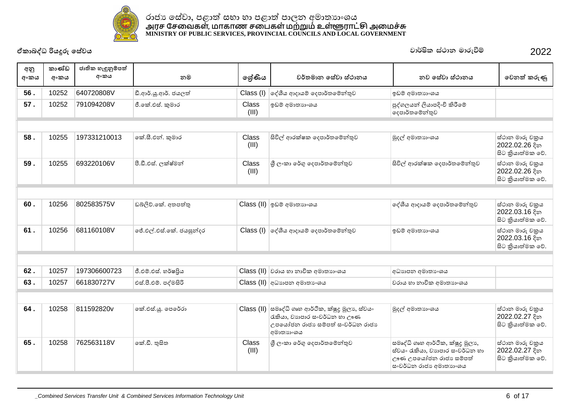

| අනු<br>අංකය | කාණ්ඩ<br>අංකය | ජාතික හැඳුනුම්පත්<br>අංකය | නම                       | ලශ්ණිය         | වර්තමාන සේවා ස්ථානය                                                                                                    | නව සේවා ස්ථානය                                                                                                         | වෙනත් කරුණු                                           |
|-------------|---------------|---------------------------|--------------------------|----------------|------------------------------------------------------------------------------------------------------------------------|------------------------------------------------------------------------------------------------------------------------|-------------------------------------------------------|
| 56.         | 10252         | 640720808V                | ඩී.ආර්.ශූ.ආර්. ජයලත්     | Class (I)      | දේශීය ආදායම් දෙපාර්තමේන්තුව                                                                                            | ඉඩම් අමාතාහංශය                                                                                                         |                                                       |
| 57.         | 10252         | 791094208V                | ජී.කේ.එස්. කුමාර         | Class<br>(III) | ඉඩම් අමාතාහංශය                                                                                                         | පුද්ගලයන් ලියාපදිංචි කිරීමේ<br>දෙපාර්තමේන්තුව                                                                          |                                                       |
|             |               |                           |                          |                |                                                                                                                        |                                                                                                                        |                                                       |
| 58.         | 10255         | 197331210013              | කේ.සී.එන්. කුමාර         | Class<br>(III) | සිවිල් ආරක්ෂක දෙපාර්තමේන්තුව                                                                                           | මුදල් අමාතාහංශය                                                                                                        | ස්ථාන මාරු චකුය<br>2022.02.26 දින<br>සිට කියාත්මක වේ. |
| 59.         | 10255         | 693220106V                | පී.ඩී.එස්. ලක්ෂ්මන්      | Class<br>(III) | ශී ලංකා රේගු දෙපාර්තමේන්තුව                                                                                            | සිවිල් ආරක්ෂක දෙපාර්තමේන්තුව                                                                                           | ස්ථාන මාරු චකුය<br>2022.02.26 දින<br>සිට කියාත්මක වේ. |
|             |               |                           |                          |                |                                                                                                                        |                                                                                                                        |                                                       |
| 60.         | 10256         | 802583575V                | ඩබ්ලිව්.කේ. අතපත්තු      |                | Class (II) ඉඩම් අමාතාහංශය                                                                                              | දේශීය ආදායම් දෙපාර්තමේන්තුව                                                                                            | ස්ථාන මාරු චකුය<br>2022.03.16 දින<br>සිට කියාත්මක වේ. |
| 61.         | 10256         | 681160108V                | ්ජේ.එල්.එස්.කේ. ජයසූත්දර |                | Class (I) ලද්ශීය ආදායම් දෙපාර්තමේන්තුව                                                                                 | ඉඩම් අමාතාහංශය                                                                                                         | ස්ථාන මාරු චකුය<br>2022.03.16 දින<br>සිට කියාත්මක වේ. |
|             |               |                           |                          |                |                                                                                                                        |                                                                                                                        |                                                       |
| 62.         | 10257         | 197306600723              | ජී.එම්.එස්. හර්ෂපිය      |                | $\text{Class (II)}$ වරාය හා නාවික අමාතාහංශය                                                                            | අධාහපන අමාතාංශය                                                                                                        |                                                       |
| 63.         | 10257         | 661830727V                | එස්.පී.එම්. පද්මසිරි     |                | Class (II) අධාහාපන අමාතාංශය                                                                                            | වරාය හා නාවික අමාතාහංශය                                                                                                |                                                       |
|             |               |                           |                          |                |                                                                                                                        |                                                                                                                        |                                                       |
| 64.         | 10258         | 811592820v                | කේ.එස්.යූ. පෙරේරා        | Class (II)     | සමෘද්ධි ගෘහ ආර්ථික, ක්ෂුදු මූලා, ස්වයං<br>රැකියා, වාහපාර සංවර්ධන හා ඌණ<br>උපයෝජන රාජා සම්පත් සංවර්ධන රාජා<br>අමාතාහංශය | මුදල් අමාතාගංශය                                                                                                        | ස්ථාන මාරු චකුය<br>2022.02.27 දින<br>සිට කියාත්මක වේ. |
| 65.         | 10258         | 762563118V                | කේ.ඩී. තුසිත             | Class<br>(III) | ශී ලංකා රේගු දෙපාර්තමේන්තුව                                                                                            | සමෘද්ධි ගෘහ ආර්ථික, ක්ෂුදු මූලා,<br>ස්වයං රැකියා, වාහපාර සංවර්ධන හා<br>ඌණ උපයෝජන රාජා සම්පත්<br>සංවර්ධන රාජා අමාතාහංශය | ස්ථාන මාරු චකුය<br>2022.02.27 දින<br>සිට කියාත්මක වේ. |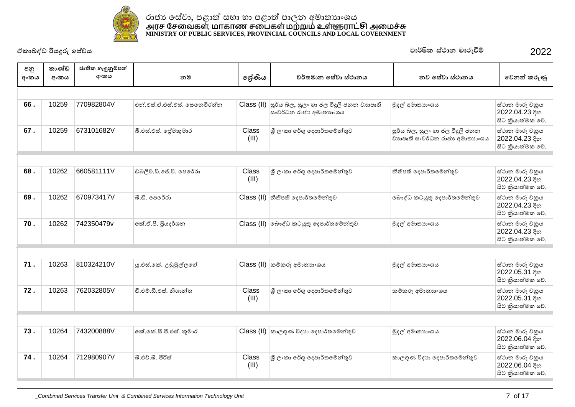

| අනු  | කාණ්ඩ | ජාතික හැඳුනුම්පත් |                               |                |                                                                    |                                                                   |                                                        |  |  |  |  |
|------|-------|-------------------|-------------------------------|----------------|--------------------------------------------------------------------|-------------------------------------------------------------------|--------------------------------------------------------|--|--|--|--|
| අංකය | අංකය  | අංකය              | නම                            | ලශ්ණිය         | වර්තමාන සේවා ස්ථානය                                                | නව සේවා ස්ථානය                                                    | වෙනත් කරුණු                                            |  |  |  |  |
|      |       |                   |                               |                |                                                                    |                                                                   |                                                        |  |  |  |  |
| 66.  | 10259 | 770982804V        | එන්.එස්.ඒ.එස්.එස්. සෙනෙවිරත්න | Class (II)     | ්සූර්ය බල, සුලං හා ජල විදුලි ජනන වාහපෘති<br>සංවර්ධන රාජා අමාතාහංශය | මුදල් අමාතාගංශය                                                   | ස්ථාන මාරු චකුය<br>2022.04.23 දින<br>සිට කියාත්මක වේ.  |  |  |  |  |
| 67.  | 10259 | 673101682V        | බී.එස්.එස්. ලප්මකුමාර         | Class<br>(III) | ශී ලංකා රේගු දෙපාර්තමේන්තුව                                        | සූර්ය බල, සුලං හා ජල විදුලි ජනන<br>වාහපෘති සංවර්ධන රාජා අමාතාහංශය | ස්ථාන මාරු චකුය<br>2022.04.23 දින<br>සිට කුියාත්මක වේ. |  |  |  |  |
|      |       |                   |                               |                |                                                                    |                                                                   |                                                        |  |  |  |  |
| 68.  | 10262 | 660581111V        | ඩබලිව්.ඩී.ජේ.වී. පෙරේරා       | Class<br>(III) | ශී ලංකා රේගු දෙපාර්තමේන්තුව                                        | නීතිපති දෙපාර්තමේන්තුව                                            | ස්ථාන මාරු චකුය<br>2022.04.23 දින<br>සිට කියාත්මක වේ.  |  |  |  |  |
| 69.  | 10262 | 670973417V        | බී.ඩී. පෙරේරා                 |                | Class (II) නීතිපති දෙපාර්තමේන්තුව                                  | බෞද්ධ කටයුතු දෙපාර්තමේන්තුව                                       | ස්ථාන මාරු චකුය<br>2022.04.23 දින<br>සිට කියාත්මක වේ.  |  |  |  |  |
| 70.  | 10262 | 742350479v        | කේ.ඒ.පී. පියදර්ශන             |                | Class (II) බෞද්ධ කටයුතු දෙපාර්තමේන්තුව                             | මුදල් අමාතාහංශය                                                   | ස්ථාන මාරු චකුය<br>2022.04.23 දින<br>සිට කියාත්මක වේ.  |  |  |  |  |
|      |       |                   |                               |                |                                                                    |                                                                   |                                                        |  |  |  |  |
| 71.  | 10263 | 810324210V        | යු.එස්.කේ. උඩුමුල්ලගේ         |                | Class (II) කම්කරු අමාතාහංශය                                        | මුදල් අමාතාගංශය                                                   | ස්ථාන මාරු චකුය<br>2022.05.31 දින<br>සිට කියාත්මක වේ.  |  |  |  |  |
| 72.  | 10263 | 762032805V        | ඩී.එම්.ඩී.එස්, නිශාන්ත        | Class<br>(III) | ශී ලංකා රේගු දෙපාර්තමේන්තුව                                        | කම්කරු අමාතාහංශය                                                  | ස්ථාන මාරු චකුය<br>2022.05.31 දින<br>සිට කියාත්මක වේ.  |  |  |  |  |
|      |       |                   |                               |                |                                                                    |                                                                   |                                                        |  |  |  |  |
| 73.  | 10264 | 743200888V        | කේ.කේ.සී.පී.එස්. කුමාර        |                | Class (II) කාලගුණ විදාහ දෙපාර්තමේන්තුව                             | මුදල් අමාතාගංශය                                                   | ස්ථාන මාරු චකුය<br>2022.06.04 දින<br>සිට කියාත්මක වේ.  |  |  |  |  |
| 74.  | 10264 | 712980907V        | බී.එච්.බී. පිරිස්             | Class<br>(III) | ශී ලංකා රේගු දෙපාර්තමේන්තුව                                        | කාලගුණ විදාහ දෙපාර්තමේන්තුව                                       | ස්ථාන මාරු චකුය<br>2022.06.04 දින<br>සිට කියාත්මක වේ.  |  |  |  |  |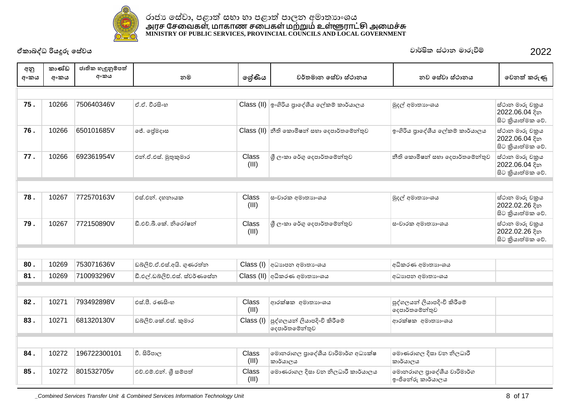

| අනු<br>අංකය | කාණ්ඩ<br>අංකය | ජාතික හැඳුනුම්පත්<br>අංකය | නම                            | ලේණිය          | වර්තමාන සේවා ස්ථානය                           | නව සේවා ස්ථානය                                  | වෙනත් කරුණු                                            |
|-------------|---------------|---------------------------|-------------------------------|----------------|-----------------------------------------------|-------------------------------------------------|--------------------------------------------------------|
|             |               |                           |                               |                |                                               |                                                 |                                                        |
| 75.         | 10266         | 750640346V                | ඒ.ඒ. වීරසිංහ                  |                | Class (II) ඉංගිරිය පුාදේශීය ලේකම් කාර්යාලය    | මුදල් අමාතාහංශය                                 | ස්ථාන මාරු චකුය<br>2022.06.04 දින<br>සිට කියාත්මක වේ.  |
| 76.         | 10266         | 650101685V                | ජේ. ලේමදාස                    |                | Class (II) නීති කොමිෂන් සහා දෙපාර්තමේන්තුව    | ඉංගිරිය පුාදේශීය ලේකම් කාර්යාලය                 | ස්ථාන මාරු චකුය<br>2022.06.04 දින<br>සිට කුියාත්මක වේ. |
| 77.         | 10266         | 692361954V                | එන්.ඒ.එස්. මුතුකුමාර          | Class<br>(III) | ශී ලංකා රේගු දෙපාර්තමේන්තුව                   | නීති කොමිෂන් සහා දෙපාර්තමේන්තුව                 | ස්ථාන මාරු චකුය<br>2022.06.04 දින<br>සිට කියාත්මක වේ.  |
|             |               |                           |                               |                |                                               |                                                 |                                                        |
| 78.         | 10267         | 772570163V                | එස්.එන්. දහනායක               | Class<br>(III) | සංචාරක අමාතාහංශය                              | මුදල් අමාතාහංශය                                 | ස්ථාන මාරු චකුය<br>2022.02.26 දින<br>සිට කියාත්මක වේ.  |
| 79.         | 10267         | 772150890V                | ඩී.එච්.බී.කේ. නිරෝෂන්         | Class<br>(III) | ශී ලංකා රේගු දෙපාර්තමේන්තුව                   | සංචාරක අමාතාහංශය                                | ස්ථාන මාරු චකුය<br>2022.02.26 දින<br>සිට කියාත්මක වේ.  |
|             |               |                           |                               |                |                                               |                                                 |                                                        |
| 80.         | 10269         | 753071636V                | ඩබ්ලිව්.ඒ.එස්.අයි. ගුණරත්ත    |                | Class (I) අධාහාපන අමාතාංශය                    | අධිකරණ අමාතාහංශය                                |                                                        |
| 81.         | 10269         | 710093296V                | ඩී.එල්.ඩබ්ලිව්.එස්. ස්වර්ණසේත |                | $\text{Class (II)}$ අධිකරණ අමාතාහංශය          | අධාහපන අමාතා ෙශය                                |                                                        |
|             |               |                           |                               |                |                                               |                                                 |                                                        |
| 82.         | 10271         | 793492898V                | එස්.පී. රණසිංහ                | Class<br>(III) | ආරක්ෂක අමාතාහංශය                              | පුද්ගලයන් ලියාපදිංචි කිරීමේ<br>දෙපාර්තමේන්තුව   |                                                        |
| 83.         | 10271         | 681320130V                | ඩබ්ලිව්.කේ.එස්. කුමාර         | Class (I)      | පුද්ගලයන් ලියාපදිංචි කිරීමේ<br>දෙපාර්තමේන්තුව | ආරක්ෂක අමාතාහංශය                                |                                                        |
|             |               |                           |                               |                |                                               |                                                 |                                                        |
| 84.         | 10272         | 196722300101              | වී. සිරිපාල                   | Class<br>(III) | මොනරාගල පාදේශීය වාරිමාර්ග අධාාක්ෂ<br>කාර්යාලය | මොණරාගල දිසා වන නිලධාරී<br>කාර්යාලය             |                                                        |
| 85.         | 10272         | 801532705v                | එච්.එම්.එන්. ශූී සම්පත්       | Class<br>(III) | මොණරාගල දිසා වන නිලධාරී කාර්යාලය              | මොනරාගල පුාදේශීය වාරිමාර්ග<br>ඉංජිනේරු කාර්යාලය |                                                        |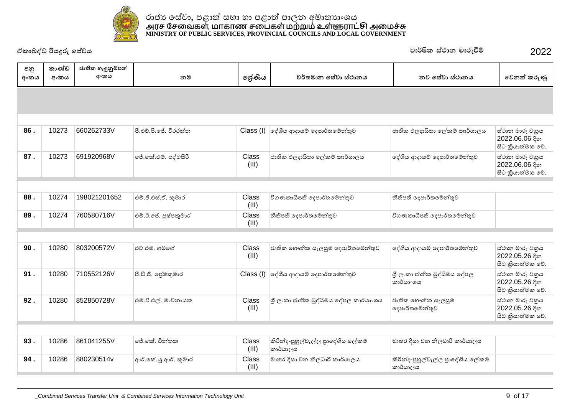

|             | වාර්ෂික ස්ථාන මාරුවීම්<br>ඒකාබද්ධ රියදූරු සේවය |                           |                       |                |                                                |                                                |                                                       |  |
|-------------|------------------------------------------------|---------------------------|-----------------------|----------------|------------------------------------------------|------------------------------------------------|-------------------------------------------------------|--|
| අනු<br>අංකය | කාණ්ඩ<br>අංකය                                  | ජාතික හැඳුනුම්පත්<br>අංකය | නම                    | ලේණිය          | වර්තමාන සේවා ස්ථානය                            | නව සේවා ස්ථානය                                 | වෙනත් කරුණු                                           |  |
|             |                                                |                           |                       |                |                                                |                                                |                                                       |  |
| 86.         | 10273                                          | 660262733V                | පී.එච්.පී.ජේ. වීරරත්න |                | Class (I) ලද්ශීය ආදායම් දෙපාර්තමේන්තුව         | ජාතික ඵලදායිතා ලේකම් කාර්යාලය                  | ස්ථාන මාරු චකුය<br>2022.06.06 දින<br>සිට කියාත්මක වේ. |  |
| 87.         | 10273                                          | 691920968V                | ජේ.කේ.එම්. පද්මසිරි   | Class<br>(III) | ජාතික ඵලදායිතා ලේකම් කාර්යාලය                  | දේශීය ආදායම් දෙපාර්තමේන්තුව                    | ස්ථාන මාරු චකුය<br>2022.06.06 දින<br>සිට කියාත්මක වේ. |  |
|             |                                                |                           |                       |                |                                                |                                                |                                                       |  |
| 88.         | 10274                                          | 198021201652              | එම්.ජී.එස්.ඒ. කුමාර   | Class<br>(III) | විගණකාධිපති දෙපාර්තමේන්තුව                     | නීතිපති දෙපාර්තමේන්තුව                         |                                                       |  |
| 89.         | 10274                                          | 760580716V                | එම්.ඊ.ජේ. පුෂ්පකුමාර  | Class<br>(III) | නීතිපති දෙපාර්තමේන්තුව                         | විගණකාධිපති දෙපාර්තමේන්තුව                     |                                                       |  |
|             |                                                |                           |                       |                |                                                |                                                |                                                       |  |
| 90.         | 10280                                          | 803200572V                | එච්.එම්. ගමගේ         | Class<br>(III) | ජාතික භෞතික සැලසුම් දෙපාර්තමේන්තුව             | දේශීය ආදායම් දෙපාර්තමේන්තුව                    | ස්ථාන මාරු චකුය<br>2022.05.26 දින<br>සිට කියාත්මක වේ. |  |
| 91.         | 10280                                          | 710552126V                | පී.ඩී.ජී. ලේමකුමාර    |                | Class (I) ලද්ශීය ආදායම් දෙපාර්තමේන්තුව         | ශී ලංකා ජාතික බුද්ධිමය දේපල<br>කාර්යා∘ශය       | ස්ථාන මාරු චකුය<br>2022.05.26 දින<br>සිට කියාත්මක වේ. |  |
| 92.         | 10280                                          | 852850728V                | එම්.වී.එල්. මංචනායක   | Class<br>(III) | ශූී ලංකා ජාතික බුද්ධිමය දේපල කාර්යාංශය         | ජාතික භෞතික සැලසුම්<br>දෙපාර්තමේන්තුව          | ස්ථාන මාරු චකුය<br>2022.05.26 දින<br>සිට කියාත්මක වේ. |  |
|             |                                                |                           |                       |                |                                                |                                                |                                                       |  |
| 93.         | 10286                                          | 861041255V                | ජේ.කේ. චින්තක         | Class<br>(III) | කිරින්ද-පුහුල්වැල්ල පුාදේශීය ලේකම්<br>කාර්යාලය | මාතර දිසා වන නිලධාරී කාර්යාලය                  |                                                       |  |
| 94.         | 10286                                          | 880230514v                | ආර්.කේ.ශූ.ආර්. කුමාර  | Class<br>(III) | මාතර දිසා වන නිලධාරී කාර්යාලය                  | කිරින්ද-පුහුල්වැල්ල පුාදේශීය ලේකම්<br>කාර්යාලය |                                                       |  |
|             |                                                |                           |                       |                |                                                |                                                |                                                       |  |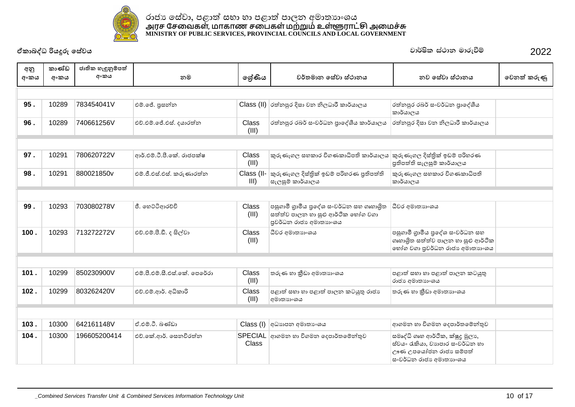

| අනු<br>අංකය | කාණ්ඩ<br>අංකය | ජාතික හැඳුනුම්පත්<br>අංකය | නම                           | ලශ්ණිය                | වර්තමාන සේවා ස්ථානය                                                                                     | නව සේවා ස්ථානය                                                                                                         | වෙනත් කරුණු |
|-------------|---------------|---------------------------|------------------------------|-----------------------|---------------------------------------------------------------------------------------------------------|------------------------------------------------------------------------------------------------------------------------|-------------|
|             |               |                           |                              |                       |                                                                                                         |                                                                                                                        |             |
| 95.         | 10289         | 783454041V                | එම්.ජේ. පුසන්න               |                       | $Class$ (II) රත්නපුර දිසා වන නිලධාරී කාර්යාලය                                                           | රත්නපුර රබර් සංවර්ධන පාදේශීය<br>කාර්යාලය                                                                               |             |
| 96.         | 10289         | 740661256V                | එච්.එම්.ජේ.එස්. දයාරත්න      | Class<br>(III)        | රත්නපුර රබර් සංවර්ධන පාදේශීය කාර්යාලය                                                                   | රත්නපුර දිසා වන නිලධාරී කාර්යාලය                                                                                       |             |
|             |               |                           |                              |                       |                                                                                                         |                                                                                                                        |             |
| 97.         | 10291         | 780620722V                | ආර්.එම්.ටී.පී.කේ. රාජපක්ෂ    | Class<br>(III)        | කුරුණෑගල සහකාර විගණකාධිපති කාර්යාලය                                                                     | කුරුණෑගල දිස්තිුක් ඉඩම් පරිහරණ<br>පුතිපත්ති සැලසුම් කාර්යාලය                                                           |             |
| 98.         | 10291         | 880021850v                | එම්.ජී.එස්.එස්. කරුණාරත්ත    | Class (II-<br>III     | කුරුණෑගල දිස්තිුක් ඉඩම් පරිහරණ පුතිපත්ති<br>සැලසුම් කාර්යාලය                                            | කුරුණෑගල සහකාර විගණකාධිපති<br>කාර්යාලය                                                                                 |             |
|             |               |                           |                              |                       |                                                                                                         |                                                                                                                        |             |
| 99.         | 10293         | 703080278V                | ජී. හෙට්ටිආරච්චි             | <b>Class</b><br>(III) | පසුගාමී ගුාමීය පුදේශ සංවර්ධන සහ ගෘහාශිත<br>සත්ත්ව පාලන හා සුළු ආර්ථික හෝග වගා<br>පුවර්ධන රාජා අමාතාහංශය | ධීවර අමාතාහංශය                                                                                                         |             |
| 100.        | 10293         | 713272272V                | එච්.එම්.පී.ඩී. ද සිල්වා      | <b>Class</b><br>(III) | ධීවර අමාතාගංශය                                                                                          | පසුගාමී ගුාමීය පුදේශ සංවර්ධන සහ<br>ගෘහාශිත සත්ත්ව පාලන හා සුළු ආර්ථික<br>භෝග වගා පුවර්ධන රාජා අමාතාහංශය                |             |
|             |               |                           |                              |                       |                                                                                                         |                                                                                                                        |             |
| 101.        | 10299         | 850230900V                | එම්.පී.එම්.සී.එස්.කේ. පෙරේරා | <b>Class</b><br>(III) | තරුණ හා කීඩා අමාතාහංශය                                                                                  | පළාත් සභා හා පළාත් පාලන කටයුතු<br>රාජා අමාතාගංශය                                                                       |             |
| 102.        | 10299         | 803262420V                | එච්.එම්.ආර්. අධිකාරි         | Class<br>(III)        | පළාත් සහා හා පළාත් පාලන කටයුතු රාජා<br>අමාතාහංශය                                                        | තරුණ හා කීඩා අමාතාගංශය                                                                                                 |             |
|             |               |                           |                              |                       |                                                                                                         |                                                                                                                        |             |
| 103.        | 10300         | 642161148V                | ඒ.එම්.ටී. බණ්ඩා              | Class (I)             | අධාහපන අමාතා ශය                                                                                         | ආගමන හා විගමන දෙපාර්තමේන්තුව                                                                                           |             |
| 104.        | 10300         | 196605200414              | එච්.කේ.ආර්. සෙනවිරත්න        | Class                 | SPECIAL ආගමන හා විගමන දෙපාර්තමේන්තුව                                                                    | සමෘද්ධි ගෘහ ආර්ථික, ක්ෂුදු මූලා,<br>ස්වයං රැකියා, වාහපාර සංවර්ධන හා<br>ඌණ උපයෝජන රාජා සම්පත්<br>සංවර්ධන රාජා අමාතාහංශය |             |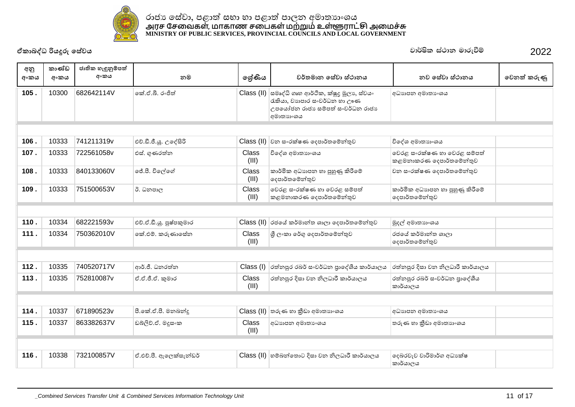

| අනු  | කාණ්ඩ | ජාතික හැඳුනුම්පත් |                         |                       |                                                                                                                                   |                                                        |             |
|------|-------|-------------------|-------------------------|-----------------------|-----------------------------------------------------------------------------------------------------------------------------------|--------------------------------------------------------|-------------|
| අංකය | අංකය  | අංකය              | නම                      | ලශ්ණිය                | වර්තමාන සේවා ස්ථානය                                                                                                               | නව සේවා ස්ථානය                                         | වෙනත් කරුණු |
| 105. | 10300 | 682642114V        | කේ.ඒ.බී. රංජිත්         |                       | Class (II) සමෘද්ධි ගෘහ ආර්ථික, ක්ෂුදු මූලා, ස්වයං<br>රැකියා, වාහපාර සංවර්ධන හා ඌණ<br>උපයෝජන රාජා සම්පත් සංවර්ධන රාජා<br>අමාතාහංශය | අධාහපන අමාතා ංශය                                       |             |
|      |       |                   |                         |                       |                                                                                                                                   |                                                        |             |
| 106. | 10333 | 741211319v        | එච්.ඩී.ජී.යූ. උදේසිරි   | Class (II)            | වන සංරක්ෂණ දෙපාර්තමේන්තුව                                                                                                         | විදේශ අමාතාහංශය                                        |             |
| 107. | 10333 | 722561058v        | එස්. ගුණරත්න            | Class<br>(III)        | විදේශ අමාතාහංශය                                                                                                                   | වෙරළ සංරක්ෂණ හා වෙරළ සම්පත්<br>කළමනාකරණ දෙපාර්තමේන්තුව |             |
| 108. | 10333 | 840133060V        | ජේ.පී. විලේගේ           | Class<br>(III)        | කාර්මික අධාහපන හා පුහුණු කිරීමේ<br>දෙපාර්තමේන්තුව                                                                                 | වන සංරක්ෂණ දෙපාර්තමේන්තුව                              |             |
| 109. | 10333 | 751500653V        | ඊ. ධනපාල                | Class<br>(III)        | වෙරළ සංරක්ෂණ හා වෙරළ සම්පත්<br>කළමනාකරණ දෙපාර්තමේන්තුව                                                                            | කාර්මික අධාහපන හා පුහුණු කිරීමේ<br> ලදපාර්තමේන්තුව     |             |
|      |       |                   |                         |                       |                                                                                                                                   |                                                        |             |
| 110. | 10334 | 682221593v        | එච්.ඒ.ඩී.යු. පුෂ්පකුමාර | Class (II)            | රජයේ කර්මාන්ත ශාලා දෙපාර්තමේන්තුව                                                                                                 | මුදල් අමාතාහංශය                                        |             |
| 111. | 10334 | 750362010V        | කේ.එම්. කරුණාසේන        | <b>Class</b><br>(III) | ු ලි∘කා රේගු දෙපාර්තමේන්තුව                                                                                                       | රජයේ කර්මාන්ත ශාලා<br> ලදපාර්තමේන්තුව                  |             |
|      |       |                   |                         |                       |                                                                                                                                   |                                                        |             |
| 112. | 10335 | 740520717V        | ආර්.ජී. ධනරත්න          | Class (I)             | රත්නපුර රබර් සංවර්ධන පාදේශීය කාර්යාලය                                                                                             | රත්නපුර දිසා වන නිලධාරී කාර්යාලය                       |             |
| 113. | 10335 | 752810087v        | ඒ.ඒ.ජී.ඒ. කුමාර         | Class<br>(III)        | රත්තපුර දිසා වන නිලධාරී කාර්යාලය                                                                                                  | රත්නපුර රබර් සංවර්ධන පාදේශීය<br>කාර්යාලය               |             |
|      |       |                   |                         |                       |                                                                                                                                   |                                                        |             |
| 114. | 10337 | 671890523v        | පී.කේ.ඒ.පී. මනබන්දු     | Class (II)            | තරුණ හා කීඩා අමාතනංශය                                                                                                             | අධාහපන අමාතා ංශය                                       |             |
| 115. | 10337 | 863382637V        | ඩබ්ලිව්.ඒ. මදූසංක       | <b>Class</b><br>(III) | අධාහපන අමාතා ශය                                                                                                                   | තරුණ හා කීඩා අමාතාගංශය                                 |             |
|      |       |                   |                         |                       |                                                                                                                                   |                                                        |             |
| 116. | 10338 | 732100857V        | ඒ.එච්.පී. ඇලෙක්සැන්ඩර්  |                       | $Class$ (II) හම්බන්තොට දිසා වන නිලධාරී කාර්යාලය                                                                                   | දෙබරවැව වාරිමාර්ග අධාාක්ෂ<br>කාර්යාලය                  |             |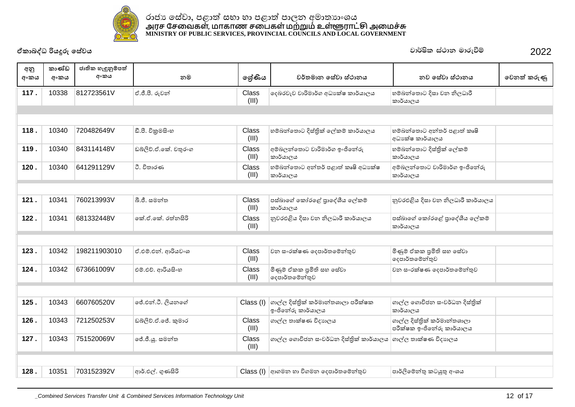

| අනු<br>අංකය | කාණ්ඩ<br>අංකය | ජාතික හැඳුනුම්පත්<br>අංකය | නම                   | ලශ්ණිය                | වර්තමාන සේවා ස්ථානය                                      | නව සේවා ස්ථානය                                           | වෙනත් කරුණු |  |  |
|-------------|---------------|---------------------------|----------------------|-----------------------|----------------------------------------------------------|----------------------------------------------------------|-------------|--|--|
| 117.        | 10338         | 812723561V                | ඒ.ජී.පී. රුවන්       | Class<br>(III)        | දෙබරවැව වාරිමාර්ග අධා ක්ෂ කාර්යාලය                       | හම්බන්තොට දිසා වන නිලධාරී<br>කාර්යාලය                    |             |  |  |
|             |               |                           |                      |                       |                                                          |                                                          |             |  |  |
| 118.        | 10340         | 720482649V                | ඩී.පී. විකුමසිංහ     | Class<br>(III)        | හම්බන්තොට දිස්තික් ලේකම් කාර්යාලය                        | හම්බන්තොට අන්තර් පළාත් කෘෂි<br>අධාකේෂ කාර්යාලය           |             |  |  |
| 119.        | 10340         | 843114148V                | ඩබ්ලිව්.ඒ.කේ. චතුරංග | Class<br>(III)        | අම්බලන්තොට වාරිමාර්ග ඉංජිනේරු<br>කාර්යාලය                | හම්බන්තොට දිස්තික් ලේකම්<br>කාර්යාලය                     |             |  |  |
| 120.        | 10340         | 641291129V                | ථි, විතාරණ           | Class<br>(III)        | හම්බන්තොට අන්තර් පළාත් කෘෂි අධාාක්ෂ<br>කාර්යාලය          | අම්බලන්තොට වාරිමාර්ග ඉංජිනේරු<br>කාර්යාලය                |             |  |  |
|             |               |                           |                      |                       |                                                          |                                                          |             |  |  |
| 121.        | 10341         | 760213993V                | බී.ජී. සමන්ත         | Class<br>(III)        | පස්බාගේ කෝරළේ පාදේශීය ලේකම්<br>කාර්යාලය                  | නුවරඑළිය දිසා වන නිලධාරී කාර්යාලය                        |             |  |  |
| 122.        | 10341         | 681332448V                | කේ.ඒ.කේ. රත්නසිරි    | Class<br>(III)        | නුවරඑළිය දිසා වන නිලධාරී කාර්යාලය                        | පස්බාගේ කෝරළේ පුාදේශීය ලේකම්<br>කාර්යාලය                 |             |  |  |
|             |               |                           |                      |                       |                                                          |                                                          |             |  |  |
| 123.        | 10342         | 198211903010              | ඒ.එම්.එන්. ආරියවංශ   | <b>Class</b><br>(III) | වන සංරක්ෂණ දෙපාර්තමේන්තුව                                | මිණුම් ඒකක පුමිති සහ සේවා<br>දෙපාර්තමේන්තුව              |             |  |  |
| 124.        | 10342         | 673661009V                | එම්.එච්. ආරියසිංහ    | Class<br>(III)        | මිණුම් ඒකක පුමිති සහ සේවා<br>දෙපාර්තමේන්තුව              | වන සංරක්ෂණ දෙපාර්තමේන්තුව                                |             |  |  |
|             |               |                           |                      |                       |                                                          |                                                          |             |  |  |
| 125.        | 10343         | 660760520V                | ජේ.එන්.ටී. ලියනගේ    | Class (I)             | ගාල්ල දිස්තික් කර්මාන්තශාලා පරීක්ෂක<br>ඉංජිතේරු කාර්යාලය | ගාල්ල ගොවිජන සංවර්ධන දිස්තික්<br>කාර්යාලය                |             |  |  |
| 126.        | 10343         | 721250253V                | ඩබ්ලිව්.ඒ.ජේ. කුමාර  | <b>Class</b><br>(III) | ගාල්ල තාක්ෂණ විදාහලය                                     | ගාල්ල දිස්තික් කර්මාන්තශාලා<br>පරීක්ෂක ඉංජිනේරු කාර්යාලය |             |  |  |
| 127.        | 10343         | 751520069V                | ජේ.ජී.ශූ. සමන්ත      | <b>Class</b><br>(III) | ගාල්ල ගොවිජන සංවර්ධන දිස්තුික් කාර්යාලය                  | ගාල්ල තාක්ෂණ විදාහලය                                     |             |  |  |
|             |               |                           |                      |                       |                                                          |                                                          |             |  |  |
| 128.        | 10351         | 703152392V                | ආර්.එල්. ගුණසිරි     |                       | Class (I) අාගමන හා විගමන දෙපාර්තමේන්තුව                  | පාර්ලිමේන්තු කටයුතු අංශය                                 |             |  |  |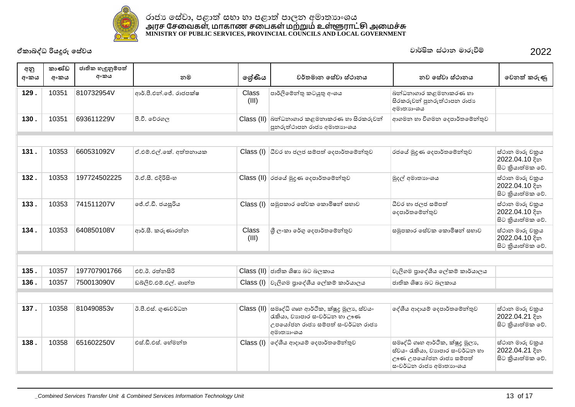

| අනු<br>අංකය | කාණ්ඩ<br>අංකය | ජාතික හැඳුනුම්පත්<br>අංකය | නම                     | ලශ්ණිය         | වර්තමාන සේවා ස්ථානය                                                                                                               | නව සේවා ස්ථානය                                                                                                         | වෙනත් කරුණු                                            |
|-------------|---------------|---------------------------|------------------------|----------------|-----------------------------------------------------------------------------------------------------------------------------------|------------------------------------------------------------------------------------------------------------------------|--------------------------------------------------------|
| 129.        | 10351         | 810732954V                | ආර්.පී.එන්.ජේ. රාජපක්ෂ | Class<br>(III) | පාර්ලිමේන්තු කටයුතු අංශය                                                                                                          | බන්ධනාගාර කළමනාකරණ හා<br>සිරකරුවන් පුනරුත්ථාපන රාජා<br>අමාතාහංශය                                                       |                                                        |
| 130.        | 10351         | 693611229V                | පී.වී. වේරගල           |                | Class (II) බන්ධනාගාර කළමනාකරණ හා සිරකරුවන්<br>පුනරුත්ථාපන රාජා අමාතාහංශය                                                          | ආගමන හා විගමන දෙපාර්තමේන්තුව                                                                                           |                                                        |
|             |               |                           |                        |                |                                                                                                                                   |                                                                                                                        |                                                        |
| 131.        | 10353         | 660531092V                | ඒ.එම්.එල්.කේ. අත්තනායක |                | Class (I) ධීවර හා ජලජ සම්පත් දෙපාර්තමේන්තුව                                                                                       | රජයේ මුදුණ දෙපාර්තමේන්තුව                                                                                              | ස්ථාන මාරු චකුය<br>2022.04.10 දින<br>සිට කියාත්මක වේ.  |
| 132.        | 10353         | 197724502225              | ඊ.ඒ.සී. එදිරිසිංහ      |                | Class (II) රජයේ මුදුණ දෙපාර්තමේන්තුව                                                                                              | මුදල් අමාතාහංශය                                                                                                        | ස්ථාන මාරු චකුය<br>2022.04.10 දින<br>සිට කියාත්මක වේ.  |
| 133.        | 10353         | 741511207V                | ලජ්.ඒ.ඩී. ජයසූරිය      |                | Class (I) සමූපකාර සේවක කොමිෂන් සභාව                                                                                               | ධීවර හා ජලජ සම්පත්<br>දෙපාර්තමේන්තුව                                                                                   | ස්ථාන මාරු චකුය<br>2022.04.10 දින<br>සිට කුියාත්මක වේ. |
| 134.        | 10353         | 640850108V                | ආර්.සී. කරුණාරත්න      | Class<br>(III) | ශී ලංකා රේගු දෙපාර්තමේන්තුව                                                                                                       | සමූපකාර සේවක කොමිෂන් සභාව                                                                                              | ස්ථාන මාරු චකුය<br>2022.04.10 දින<br>සිට කුියාත්මක වේ. |
|             |               |                           |                        |                |                                                                                                                                   |                                                                                                                        |                                                        |
| 135.        | 10357         | 197707901766              | එච්.ඊ. රත්නසිරි        |                | $Class$ (II) ජාතික ශිෂා බට බලකාය                                                                                                  | වැලිගම පුාදේශීය ලේකම් කාර්යාලය                                                                                         |                                                        |
| 136.        | 10357         | 750013090V                | ඩබ්ලිව්.එම්.එල්. ශාන්ත |                | Class (I) වැලිගම පුාදේශීය ලේකම් කාර්යාලය                                                                                          | ජාතික ශිෂාා බට බලකාය                                                                                                   |                                                        |
|             |               |                           |                        |                |                                                                                                                                   |                                                                                                                        |                                                        |
| 137.        | 10358         | 810490853v                | ඊ.පී.එස්. ගුණවර්ධන     |                | Class (II) සමෘද්ධි ගෘහ ආර්ථික, ක්ෂූදු මූලා, ස්වයං<br>රැකියා, වාහපාර සංවර්ධන හා ඌණ<br>උපයෝජන රාජා සම්පත් සංවර්ධන රාජා<br>අමාතාහංශය | දේශීය ආදායම් දෙපාර්තමේන්තුව                                                                                            | ස්ථාන මාරු චකුය<br>2022.04.21 දින<br>සිට කියාත්මක වේ.  |
| 138.        | 10358         | 651602250V                | ් එස්.ඩී.එස්. හේමන්ත   |                | Class (I) ලද්ශීය ආදායම් දෙපාර්තමේන්තුව                                                                                            | සමෘද්ධි ගෘහ ආර්ථික, ක්ෂුදු මූලා,<br>ස්වයං රැකියා, වාහපාර සංවර්ධන හා<br>ඌණ උපයෝජන රාජා සම්පත්<br>සංවර්ධන රාජා අමාතාහංශය | ස්ථාන මාරු චකුය<br>2022.04.21 දින<br>සිට කියාත්මක වේ.  |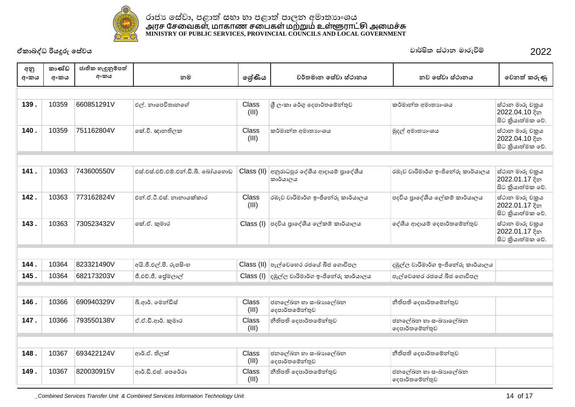

| අනු<br>අංකය | කාණ්ඩ<br>අංකය | ජාතික හැඳුනුම්පත්<br>අංකය | නම                                | ලශ්ණිය         | වර්තමාන සේවා ස්ථානය                                                           | නව සේවා ස්ථානය                        | වෙනත් කරුණු                                           |  |  |
|-------------|---------------|---------------------------|-----------------------------------|----------------|-------------------------------------------------------------------------------|---------------------------------------|-------------------------------------------------------|--|--|
|             |               |                           |                                   |                |                                                                               |                                       |                                                       |  |  |
| 139.        | 10359         | 660851291V                | එල්. නාපෙවිතානගේ                  | Class<br>(III) | ශී ලංකා රේගු දෙපාර්තමේන්තුව                                                   | කර්මාන්ත අමාතාහංශය                    | ස්ථාන මාරු චකුය<br>2022.04.10 දින<br>සිට කියාත්මක වේ. |  |  |
| 140.        | 10359         | 751162804V                | කේ.වී. ඥානතිලක                    | Class<br>(III) | කර්මාන්ත අමාතාහංශය                                                            | මුදල් අමාතාහංශය                       | ස්ථාන මාරු චකුය<br>2022.04.10 දින<br>සිට කියාත්මක වේ. |  |  |
|             |               |                           |                                   |                |                                                                               |                                       |                                                       |  |  |
| 141.        | 10363         | 743600550V                | එස්.එස්.එච්.එම්.එන්.ඩී.බී. බෝයගොඩ | Class (II)     | අනුරාධපුර දේශීය ආදායම් පාදේශීය<br>කාර්යාලය                                    | රඹෑව වාරිමාර්ග ඉංජිතේරු කාර්යාලය      | ස්ථාන මාරු චකුය<br>2022.01.17 දින<br>සිට කියාත්මක වේ. |  |  |
| 142.        | 10363         | 773162824V                | එන්.ඒ.ටී.එස්. නානායක්කාර          | Class<br>(III) | රඹෑව වාරිමාර්ග ඉංජිනේරු කාර්යාලය                                              | පදවිය පාදේශීය ලේකම් කාර්යාලය          | ස්ථාන මාරු චකුය<br>2022.01.17 දින<br>සිට කියාත්මක වේ. |  |  |
| 143.        | 10363         | 730523432V                | කේ.ඒ. කුමාර                       |                | Class (I) පදවිය පුාදේශීය ලේකම් කාර්යාලය                                       | දේශීය ආදායම් දෙපාර්තමේන්තුව           | ස්ථාන මාරු චකුය<br>2022.01.17 දින<br>සිට කියාත්මක වේ. |  |  |
|             |               |                           |                                   |                |                                                                               |                                       |                                                       |  |  |
| 144.        | 10364         | 823321490V                | අයි.ජී.එල්.පී. රූපසිංහ            |                | $\textsf{Class}\ ( \textsf{II})\  \ \textsf{c}_7$ ල්වෙහෙර රජයේ බීජ ගොවිපල     | දඹුල්ල වාරිමාර්ග ඉංජිනේරු කාර්යාලය    |                                                       |  |  |
| 145.        | 10364         | 682173203V                | ජී.එච්.ජී. පේුමලාල්               |                | $\textsf{Class} \left( \mathsf{I} \right)$ දඹුල්ල වාරිමාර්ග ඉංජිනේරු කාර්යාලය | පැල්වෙහෙර රජයේ බීජ ගොවිපල             |                                                       |  |  |
|             |               |                           |                                   |                |                                                                               |                                       |                                                       |  |  |
| 146.        | 10366         | 690940329V                | බී.ආර්. මෙන්ඩිස්                  | Class<br>(III) | ජනලේඛන හා සංඛාහලේඛන<br>දෙපාර්තමේන්තුව                                         | නීතිපති දෙපාර්තමේන්තුව                |                                                       |  |  |
| 147.        | 10366         | 793550138V                | ඒ.ඒ.ඩී.ආර්. කුමාර                 | Class<br>(III) | නීතිපති දෙපාර්තමේන්තුව                                                        | ජනලේඛන හා සංඛාහලේඛන<br>දෙපාර්තමේන්තුව |                                                       |  |  |
|             |               |                           |                                   |                |                                                                               |                                       |                                                       |  |  |
| 148.        | 10367         | 693422124V                | ආර්.ඒ. තිලක්                      | Class<br>(III) | ජනලේඛන හා සංඛාහලේඛන<br>දෙපාර්තමේන්තුව                                         | නීතිපති දෙපාර්තමේන්තුව                |                                                       |  |  |
| 149.        | 10367         | 820030915V                | ආර්.ඩී.එස්. පෙරේරා                | Class<br>(III) | නීතිපති දෙපාර්තමේන්තුව                                                        | ජනලේඛන හා සංඛාහලේඛන<br>දෙපාර්තමේන්තුව |                                                       |  |  |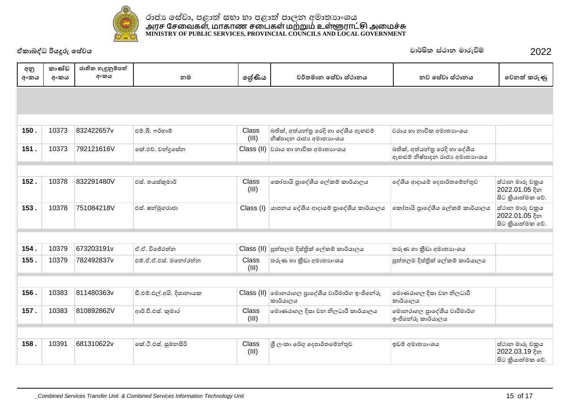

|             | ඒකාබද්ධ රියදූරු සේවය |                           |                          |                |                                                                 | වාර්ෂික ස්ථාන මාරුවීම්                                          | 2022                                                   |
|-------------|----------------------|---------------------------|--------------------------|----------------|-----------------------------------------------------------------|-----------------------------------------------------------------|--------------------------------------------------------|
| අනු<br>අංකය | කාණ්ඩ<br>අංකය        | ජාතික හැඳුනුම්පත්<br>අංකය | නම                       | ලේණිය          | වර්තමාන සේවා ස්ථානය                                             | නව සේවා ස්ථානය                                                  | වෙනත් කරුණු                                            |
|             |                      |                           |                          |                |                                                                 |                                                                 |                                                        |
|             |                      |                           |                          |                |                                                                 |                                                                 |                                                        |
| 150.        | 10373                | 832422657v                | එම්.බී. ෆර්හාම්          | Class<br>(III) | බතික්, අත්යන්තු රෙදි හා දේශීය ඇහළුම්<br>නිෂ්පාදන රාජා අමාතාහංශය | වරාය හා නාවික අමාතාහංශය                                         |                                                        |
| 151.        | 10373                | 792121616V                | කේ.එච්. චන්දුසේන         | Class (II)     | වරාය හා නාවික අමාතනංශය                                          | බතික්, අත්යන්තු රෙදි හා දේශීය<br>ඇහළුම් නිෂ්පාදන රාජා අමාතාහංශය |                                                        |
|             |                      |                           |                          |                |                                                                 |                                                                 |                                                        |
| 152.        | 10378                | 832291480V                | එස්. තයස්කුමාර්          | Class<br>(III) | කෝපායි පාදේශීය ලේකම් කාර්යාලය                                   | දේශීය ආදායම් දෙපාර්තමේන්තුව                                     | ස්ථාන මාරු චකුය<br>2022.01.05 දින<br>සිට කුියාත්මක වේ. |
| 153.        | 10378                | 751084218V                | එස්. ෂන්මුගරාජා          | Class (I)      | යාපනය දේශීය ආදායම් පුාදේශීය කාර්යාලය                            | කෝපායි පාදේශීය ලේකම් කාර්යාලය                                   | ස්ථාන මාරු චකුය<br>2022.01.05 දින<br>සිට කියාත්මක වේ.  |
|             |                      |                           |                          |                |                                                                 |                                                                 |                                                        |
| 154.        | 10379                | 673203191v                | ඒ.ඒ. විජේරත්ත            |                | Class (II) පුත්තලම දිස්තික් ලේකම් කාර්යාලය                      | තරුණ හා කීඩා අමාතාහංශය                                          |                                                        |
| 155.        | 10379                | 782492837v                | එම්.ඒ.ඒ.එස්. මතෝරත්න     | Class<br>(III) | තරුණ හා කීඩා අමාතාගංශය                                          | පුත්තලම දිස්තික් ලේකම් කාර්යාලය                                 |                                                        |
|             |                      |                           |                          |                |                                                                 |                                                                 |                                                        |
| 156.        | 10383                | 811480363v                | ඩී.එම්.එල්.අයි. දිසානායක |                | Class (II) මොනරාගල පුාදේශීය වාරිමාර්ග ඉංජිනේරු<br>කාර්යාලය      | මොණරාගල දිසා වන නිලධාරී<br>කාර්යාලය                             |                                                        |
| 157.        | 10383                | 810892862V                | ආර්.වී.එස්. කුමාර        | Class<br>(III) | මොණරාගල දිසා වන නිලධාරී කාර්යාලය                                | මොනරාගල පුාදේශීය වාරිමාර්ග<br>ඉංජිනේරු කාර්යාලය                 |                                                        |
|             |                      |                           |                          |                |                                                                 |                                                                 |                                                        |
| 158.        | 10391                | 681310622v                | ංක්.ටී.එස්. සුමනසිරි     | Class<br>(III) | ශුී ලංකා රේගු දෙපාර්තමේන්තුව                                    | ඉඩම් අමාතාහංශය                                                  | ස්ථාන මාරු චකුය<br>2022.03.19 දින<br>සිට කියාත්මක වේ.  |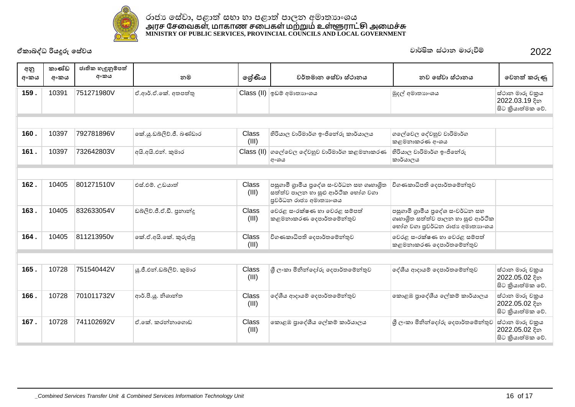

| අනු<br>අංකය | කාණ්ඩ<br>අංකය | ජාතික හැඳුනුම්පත්<br>අංකය | නම                        | ඉශ්ණිය         | වර්තමාන සේවා ස්ථානය                                                                                     | නව සේවා ස්ථානය                                                                                          | වෙනත් කරුණු                                           |
|-------------|---------------|---------------------------|---------------------------|----------------|---------------------------------------------------------------------------------------------------------|---------------------------------------------------------------------------------------------------------|-------------------------------------------------------|
| 159.        | 10391         | 751271980V                | ඒ.ආර්.ඒ.කේ. අතපත්තු       |                | Class (II) ඉඩම් අමාතාහංශය                                                                               | මුදල් අමාතනංශය                                                                                          | ස්ථාන මාරු චකුය<br>2022.03.19 දින<br>සිට කියාත්මක වේ. |
|             |               |                           |                           |                |                                                                                                         |                                                                                                         |                                                       |
| 160.        | 10397         | 792781896V                | කේ.යූ.ඩබ්ලිව්.ජී. බණ්ඩාර  | Class<br>(III) | හිරියාල වාරිමාර්ග ඉංජිනේරු කාර්යාලය                                                                     | ගලේවෙල දේවහුව වාරිමාර්ග<br>කළමනාකරණ අංශය                                                                |                                                       |
| 161.        | 10397         | 732642803V                | අයි.අයි.එන්. කුමාර        | Class (II)     | ගලේවෙල දේවහුව වාරිමාර්ග කළමනාකරණ<br>අංශය                                                                | හිරියාල වාරිමාර්ග ඉංජිනේරු<br>කාර්යාලය                                                                  |                                                       |
|             |               |                           |                           |                |                                                                                                         |                                                                                                         |                                                       |
| 162.        | 10405         | 801271510V                | එස්.එම්. උඩයාත්           | Class<br>(III) | පසුගාමී ගුාමීය පුදේශ සංවර්ධන සහ ගෘහාශිත<br>සත්ත්ව පාලන හා සුළු ආර්ථික හෝග වගා<br>පුවර්ධන රාජා අමාතාහංශය | විගණකාධිපති දෙපාර්තමේන්තුව                                                                              |                                                       |
| 163.        | 10405         | 832633054V                | ඩබ්ලිව්.ජී.ඒ.ඩී. පුනාන්දු | Class<br>(III) | වෙරළ සංරක්ෂණ හා වෙරළ සම්පත්<br>කළමනාකරණ දෙපාර්තමේන්තුව                                                  | පසුගාමී ගුාමීය පුදේශ සංවර්ධන සහ<br>ගෘහාශිත සත්ත්ව පාලන හා සුළු ආර්ථික<br>භෝග වගා පුවර්ධන රාජා අමාතාහංශය |                                                       |
| 164.        | 10405         | 811213950v                | කේ.ඒ.අයි.කේ. කුරුප්පු     | Class<br>(III) | විගණකාධිපති දෙපාර්තමේන්තුව                                                                              | වෙරළ සංරක්ෂණ හා වෙරළ සම්පත්<br>කළමනාකරණ දෙපාර්තමේන්තුව                                                  |                                                       |
|             |               |                           |                           |                |                                                                                                         |                                                                                                         |                                                       |
| 165.        | 10728         | 751540442V                | ශු.ජී.එන්.ඩබ්ලිව්, කුමාර  | Class<br>(III) | ශී ලංකා මිනින්දෝරු දෙපාර්තමේන්තුව                                                                       | ලද්ශීය ආදායම් දෙපාර්තමේන්තුව                                                                            | ස්ථාන මාරු චකුය<br>2022.05.02 දින<br>සිට කියාත්මක වේ. |
| 166.        | 10728         | 701011732V                | ආර්.පී.ශූ. නිශාන්ත        | Class<br>(III) | දේශීය ආදායම් දෙපාර්තමේන්තුව                                                                             | කොළඹ පුාදේශීය ලේකම් කාර්යාලය                                                                            | ස්ථාන මාරු චකුය<br>2022.05.02 දින<br>සිට කියාත්මක වේ. |
| 167.        | 10728         | 741102692V                | ඒ කේ. කරන්නාගොඩ           | Class<br>(III) | කොළඹ පුාදේශීය ලේකම් කාර්යාලය                                                                            | ුශී ලංකා මිනින්දෝරු දෙපාර්තමේන්තුව                                                                      | ස්ථාන මාරු චකුය<br>2022.05.02 දින<br>සිට කියාත්මක වේ. |